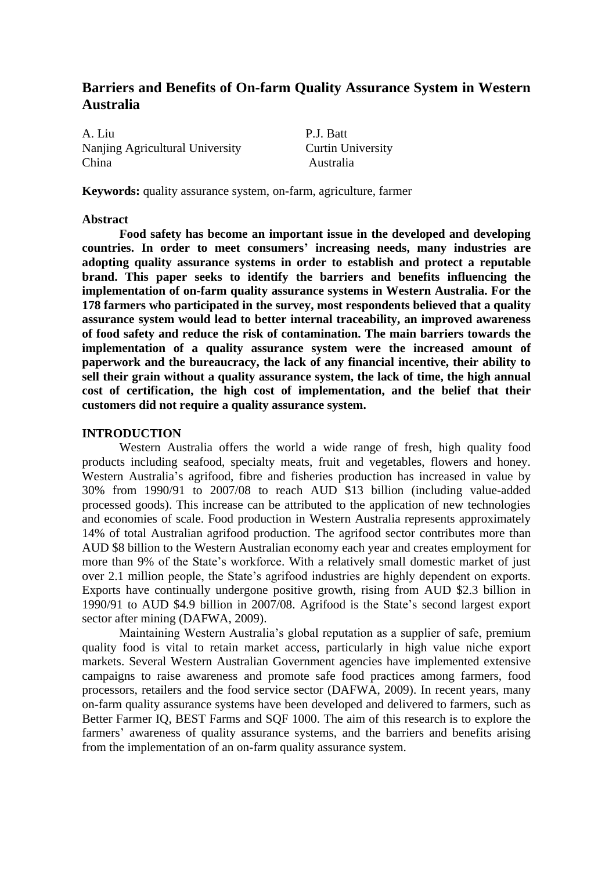## **Barriers and Benefits of On-farm Quality Assurance System in Western Australia**

A. Liu P.J. Batt Nanjing Agricultural University Curtin University China Australia

**Keywords:** quality assurance system, on-farm, agriculture, farmer

#### **Abstract**

**Food safety has become an important issue in the developed and developing countries. In order to meet consumers' increasing needs, many industries are adopting quality assurance systems in order to establish and protect a reputable brand. This paper seeks to identify the barriers and benefits influencing the implementation of on-farm quality assurance systems in Western Australia. For the 178 farmers who participated in the survey, most respondents believed that a quality assurance system would lead to better internal traceability, an improved awareness of food safety and reduce the risk of contamination. The main barriers towards the implementation of a quality assurance system were the increased amount of paperwork and the bureaucracy, the lack of any financial incentive, their ability to sell their grain without a quality assurance system, the lack of time, the high annual cost of certification, the high cost of implementation, and the belief that their customers did not require a quality assurance system.**

#### **INTRODUCTION**

Western Australia offers the world a wide range of fresh, high quality food products including seafood, specialty meats, fruit and vegetables, flowers and honey. Western Australia's agrifood, fibre and fisheries production has increased in value by 30% from 1990/91 to 2007/08 to reach AUD \$13 billion (including value-added processed goods). This increase can be attributed to the application of new technologies and economies of scale. Food production in Western Australia represents approximately 14% of total Australian agrifood production. The agrifood sector contributes more than AUD \$8 billion to the Western Australian economy each year and creates employment for more than 9% of the State's workforce. With a relatively small domestic market of just over 2.1 million people, the State's agrifood industries are highly dependent on exports. Exports have continually undergone positive growth, rising from AUD \$2.3 billion in 1990/91 to AUD \$4.9 billion in 2007/08. Agrifood is the State's second largest export sector after mining (DAFWA, 2009).

Maintaining Western Australia's global reputation as a supplier of safe, premium quality food is vital to retain market access, particularly in high value niche export markets. Several Western Australian Government agencies have implemented extensive campaigns to raise awareness and promote safe food practices among farmers, food processors, retailers and the food service sector (DAFWA, 2009). In recent years, many on-farm quality assurance systems have been developed and delivered to farmers, such as Better Farmer IQ, BEST Farms and SQF 1000. The aim of this research is to explore the farmers' awareness of quality assurance systems, and the barriers and benefits arising from the implementation of an on-farm quality assurance system.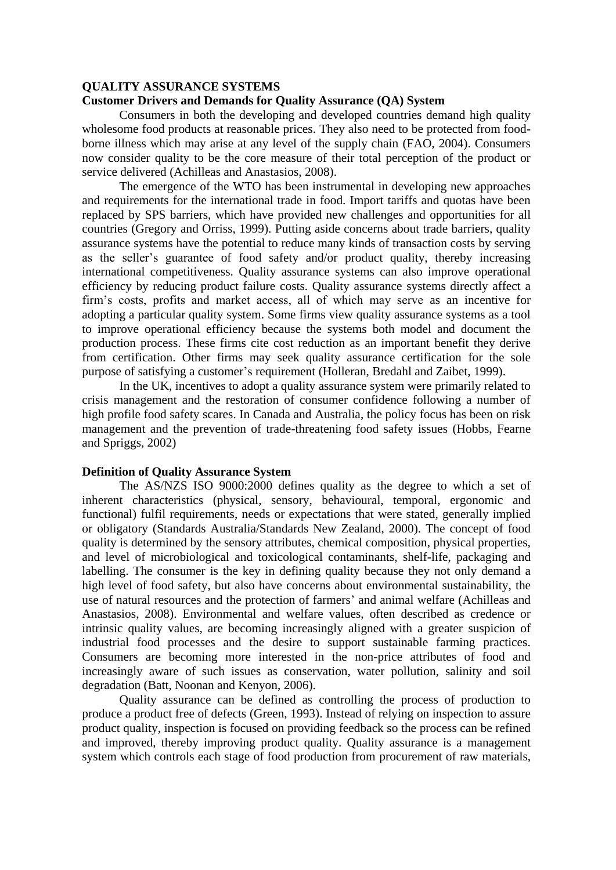#### **QUALITY ASSURANCE SYSTEMS**

## **Customer Drivers and Demands for Quality Assurance (QA) System**

Consumers in both the developing and developed countries demand high quality wholesome food products at reasonable prices. They also need to be protected from foodborne illness which may arise at any level of the supply chain (FAO, 2004). Consumers now consider quality to be the core measure of their total perception of the product or service delivered (Achilleas and Anastasios, 2008).

The emergence of the WTO has been instrumental in developing new approaches and requirements for the international trade in food. Import tariffs and quotas have been replaced by SPS barriers, which have provided new challenges and opportunities for all countries (Gregory and Orriss, 1999). Putting aside concerns about trade barriers, quality assurance systems have the potential to reduce many kinds of transaction costs by serving as the seller's guarantee of food safety and/or product quality, thereby increasing international competitiveness. Quality assurance systems can also improve operational efficiency by reducing product failure costs. Quality assurance systems directly affect a firm's costs, profits and market access, all of which may serve as an incentive for adopting a particular quality system. Some firms view quality assurance systems as a tool to improve operational efficiency because the systems both model and document the production process. These firms cite cost reduction as an important benefit they derive from certification. Other firms may seek quality assurance certification for the sole purpose of satisfying a customer's requirement (Holleran, Bredahl and Zaibet, 1999).

In the UK, incentives to adopt a quality assurance system were primarily related to crisis management and the restoration of consumer confidence following a number of high profile food safety scares. In Canada and Australia, the policy focus has been on risk management and the prevention of trade-threatening food safety issues (Hobbs, Fearne and Spriggs, 2002)

### **Definition of Quality Assurance System**

The AS/NZS ISO 9000:2000 defines quality as the degree to which a set of inherent characteristics (physical, sensory, behavioural, temporal, ergonomic and functional) fulfil requirements, needs or expectations that were stated, generally implied or obligatory (Standards Australia/Standards New Zealand, 2000). The concept of food quality is determined by the sensory attributes, chemical composition, physical properties, and level of microbiological and toxicological contaminants, shelf-life, packaging and labelling. The consumer is the key in defining quality because they not only demand a high level of food safety, but also have concerns about environmental sustainability, the use of natural resources and the protection of farmers' and animal welfare (Achilleas and Anastasios, 2008). Environmental and welfare values, often described as credence or intrinsic quality values, are becoming increasingly aligned with a greater suspicion of industrial food processes and the desire to support sustainable farming practices. Consumers are becoming more interested in the non-price attributes of food and increasingly aware of such issues as conservation, water pollution, salinity and soil degradation (Batt, Noonan and Kenyon, 2006).

Quality assurance can be defined as controlling the process of production to produce a product free of defects (Green, 1993). Instead of relying on inspection to assure product quality, inspection is focused on providing feedback so the process can be refined and improved, thereby improving product quality. Quality assurance is a management system which controls each stage of food production from procurement of raw materials,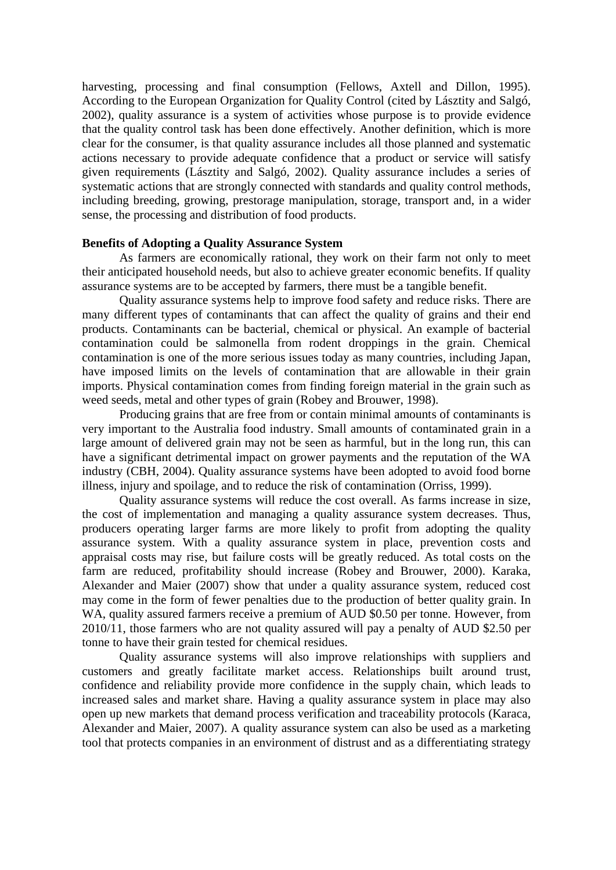harvesting, processing and final consumption (Fellows, Axtell and Dillon, 1995). According to the European Organization for Quality Control (cited by Lásztity and Salgó, 2002), quality assurance is a system of activities whose purpose is to provide evidence that the quality control task has been done effectively. Another definition, which is more clear for the consumer, is that quality assurance includes all those planned and systematic actions necessary to provide adequate confidence that a product or service will satisfy given requirements (Lásztity and Salgó, 2002). Quality assurance includes a series of systematic actions that are strongly connected with standards and quality control methods, including breeding, growing, prestorage manipulation, storage, transport and, in a wider sense, the processing and distribution of food products.

#### **Benefits of Adopting a Quality Assurance System**

As farmers are economically rational, they work on their farm not only to meet their anticipated household needs, but also to achieve greater economic benefits. If quality assurance systems are to be accepted by farmers, there must be a tangible benefit.

Quality assurance systems help to improve food safety and reduce risks. There are many different types of contaminants that can affect the quality of grains and their end products. Contaminants can be bacterial, chemical or physical. An example of bacterial contamination could be salmonella from rodent droppings in the grain. Chemical contamination is one of the more serious issues today as many countries, including Japan, have imposed limits on the levels of contamination that are allowable in their grain imports. Physical contamination comes from finding foreign material in the grain such as weed seeds, metal and other types of grain (Robey and Brouwer, 1998).

Producing grains that are free from or contain minimal amounts of contaminants is very important to the Australia food industry. Small amounts of contaminated grain in a large amount of delivered grain may not be seen as harmful, but in the long run, this can have a significant detrimental impact on grower payments and the reputation of the WA industry (CBH, 2004). Quality assurance systems have been adopted to avoid food borne illness, injury and spoilage, and to reduce the risk of contamination (Orriss, 1999).

Quality assurance systems will reduce the cost overall. As farms increase in size, the cost of implementation and managing a quality assurance system decreases. Thus, producers operating larger farms are more likely to profit from adopting the quality assurance system. With a quality assurance system in place, prevention costs and appraisal costs may rise, but failure costs will be greatly reduced. As total costs on the farm are reduced, profitability should increase (Robey and Brouwer, 2000). Karaka, Alexander and Maier (2007) show that under a quality assurance system, reduced cost may come in the form of fewer penalties due to the production of better quality grain. In WA, quality assured farmers receive a premium of AUD \$0.50 per tonne. However, from 2010/11, those farmers who are not quality assured will pay a penalty of AUD \$2.50 per tonne to have their grain tested for chemical residues.

Quality assurance systems will also improve relationships with suppliers and customers and greatly facilitate market access. Relationships built around trust, confidence and reliability provide more confidence in the supply chain, which leads to increased sales and market share. Having a quality assurance system in place may also open up new markets that demand process verification and traceability protocols (Karaca, Alexander and Maier, 2007). A quality assurance system can also be used as a marketing tool that protects companies in an environment of distrust and as a differentiating strategy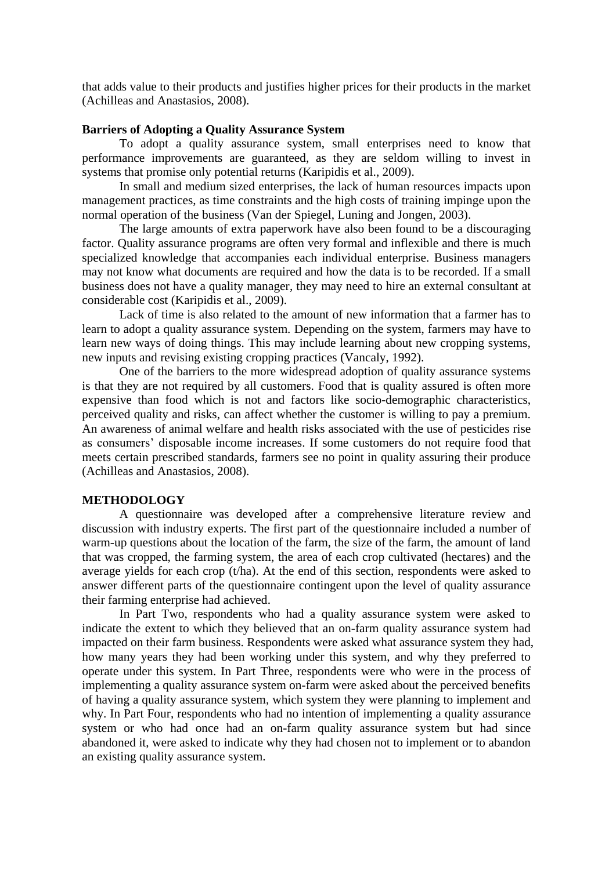that adds value to their products and justifies higher prices for their products in the market (Achilleas and Anastasios, 2008).

#### **Barriers of Adopting a Quality Assurance System**

To adopt a quality assurance system, small enterprises need to know that performance improvements are guaranteed, as they are seldom willing to invest in systems that promise only potential returns (Karipidis et al., 2009).

In small and medium sized enterprises, the lack of human resources impacts upon management practices, as time constraints and the high costs of training impinge upon the normal operation of the business (Van der Spiegel, Luning and Jongen, 2003).

The large amounts of extra paperwork have also been found to be a discouraging factor. Quality assurance programs are often very formal and inflexible and there is much specialized knowledge that accompanies each individual enterprise. Business managers may not know what documents are required and how the data is to be recorded. If a small business does not have a quality manager, they may need to hire an external consultant at considerable cost (Karipidis et al., 2009).

Lack of time is also related to the amount of new information that a farmer has to learn to adopt a quality assurance system. Depending on the system, farmers may have to learn new ways of doing things. This may include learning about new cropping systems, new inputs and revising existing cropping practices (Vancaly, 1992).

One of the barriers to the more widespread adoption of quality assurance systems is that they are not required by all customers. Food that is quality assured is often more expensive than food which is not and factors like socio-demographic characteristics, perceived quality and risks, can affect whether the customer is willing to pay a premium. An awareness of animal welfare and health risks associated with the use of pesticides rise as consumers' disposable income increases. If some customers do not require food that meets certain prescribed standards, farmers see no point in quality assuring their produce (Achilleas and Anastasios, 2008).

#### **METHODOLOGY**

A questionnaire was developed after a comprehensive literature review and discussion with industry experts. The first part of the questionnaire included a number of warm-up questions about the location of the farm, the size of the farm, the amount of land that was cropped, the farming system, the area of each crop cultivated (hectares) and the average yields for each crop (t/ha). At the end of this section, respondents were asked to answer different parts of the questionnaire contingent upon the level of quality assurance their farming enterprise had achieved.

In Part Two, respondents who had a quality assurance system were asked to indicate the extent to which they believed that an on-farm quality assurance system had impacted on their farm business. Respondents were asked what assurance system they had, how many years they had been working under this system, and why they preferred to operate under this system. In Part Three, respondents were who were in the process of implementing a quality assurance system on-farm were asked about the perceived benefits of having a quality assurance system, which system they were planning to implement and why. In Part Four, respondents who had no intention of implementing a quality assurance system or who had once had an on-farm quality assurance system but had since abandoned it, were asked to indicate why they had chosen not to implement or to abandon an existing quality assurance system.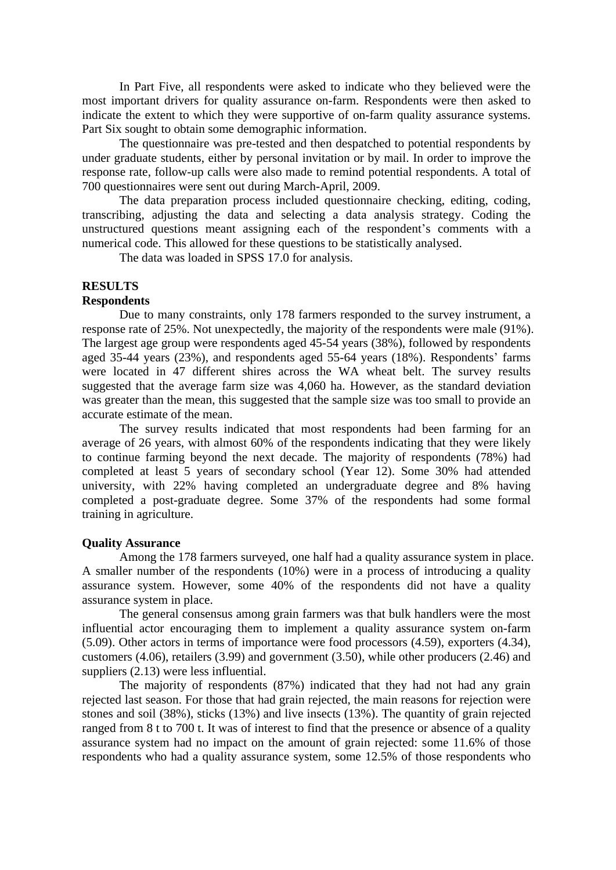In Part Five, all respondents were asked to indicate who they believed were the most important drivers for quality assurance on-farm. Respondents were then asked to indicate the extent to which they were supportive of on-farm quality assurance systems. Part Six sought to obtain some demographic information.

The questionnaire was pre-tested and then despatched to potential respondents by under graduate students, either by personal invitation or by mail. In order to improve the response rate, follow-up calls were also made to remind potential respondents. A total of 700 questionnaires were sent out during March-April, 2009.

The data preparation process included questionnaire checking, editing, coding, transcribing, adjusting the data and selecting a data analysis strategy. Coding the unstructured questions meant assigning each of the respondent's comments with a numerical code. This allowed for these questions to be statistically analysed.

The data was loaded in SPSS 17.0 for analysis.

#### **RESULTS Respondents**

Due to many constraints, only 178 farmers responded to the survey instrument, a response rate of 25%. Not unexpectedly, the majority of the respondents were male (91%). The largest age group were respondents aged 45-54 years (38%), followed by respondents aged 35-44 years (23%), and respondents aged 55-64 years (18%). Respondents' farms were located in 47 different shires across the WA wheat belt. The survey results suggested that the average farm size was 4,060 ha. However, as the standard deviation was greater than the mean, this suggested that the sample size was too small to provide an accurate estimate of the mean.

The survey results indicated that most respondents had been farming for an average of 26 years, with almost 60% of the respondents indicating that they were likely to continue farming beyond the next decade. The majority of respondents (78%) had completed at least 5 years of secondary school (Year 12). Some 30% had attended university, with 22% having completed an undergraduate degree and 8% having completed a post-graduate degree. Some 37% of the respondents had some formal training in agriculture.

#### **Quality Assurance**

Among the 178 farmers surveyed, one half had a quality assurance system in place. A smaller number of the respondents (10%) were in a process of introducing a quality assurance system. However, some 40% of the respondents did not have a quality assurance system in place.

The general consensus among grain farmers was that bulk handlers were the most influential actor encouraging them to implement a quality assurance system on-farm (5.09). Other actors in terms of importance were food processors (4.59), exporters (4.34), customers (4.06), retailers (3.99) and government (3.50), while other producers (2.46) and suppliers (2.13) were less influential.

The majority of respondents (87%) indicated that they had not had any grain rejected last season. For those that had grain rejected, the main reasons for rejection were stones and soil (38%), sticks (13%) and live insects (13%). The quantity of grain rejected ranged from 8 t to 700 t. It was of interest to find that the presence or absence of a quality assurance system had no impact on the amount of grain rejected: some 11.6% of those respondents who had a quality assurance system, some 12.5% of those respondents who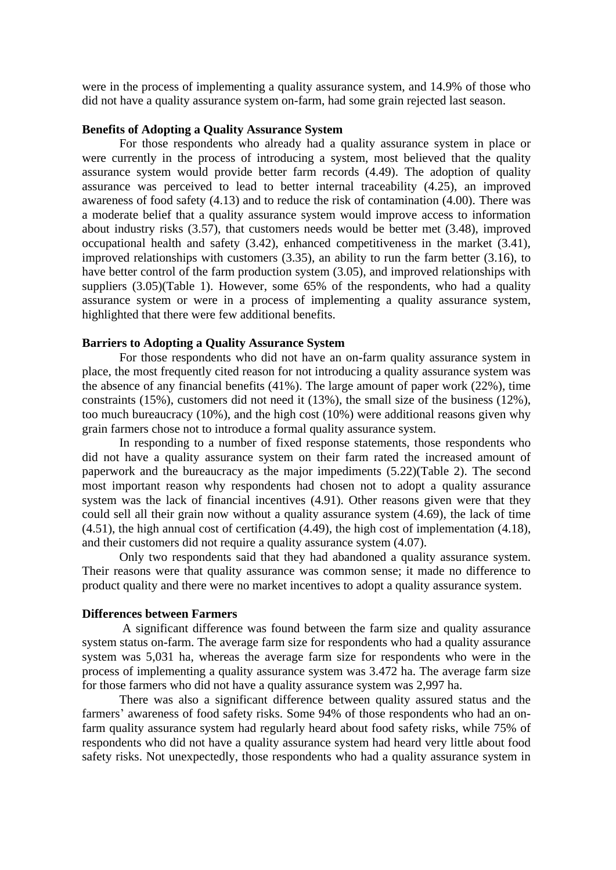were in the process of implementing a quality assurance system, and 14.9% of those who did not have a quality assurance system on-farm, had some grain rejected last season.

#### **Benefits of Adopting a Quality Assurance System**

For those respondents who already had a quality assurance system in place or were currently in the process of introducing a system, most believed that the quality assurance system would provide better farm records (4.49). The adoption of quality assurance was perceived to lead to better internal traceability (4.25), an improved awareness of food safety (4.13) and to reduce the risk of contamination (4.00). There was a moderate belief that a quality assurance system would improve access to information about industry risks (3.57), that customers needs would be better met (3.48), improved occupational health and safety (3.42), enhanced competitiveness in the market (3.41), improved relationships with customers (3.35), an ability to run the farm better (3.16), to have better control of the farm production system (3.05), and improved relationships with suppliers (3.05)(Table 1). However, some 65% of the respondents, who had a quality assurance system or were in a process of implementing a quality assurance system, highlighted that there were few additional benefits.

#### **Barriers to Adopting a Quality Assurance System**

For those respondents who did not have an on-farm quality assurance system in place, the most frequently cited reason for not introducing a quality assurance system was the absence of any financial benefits (41%). The large amount of paper work (22%), time constraints (15%), customers did not need it (13%), the small size of the business (12%), too much bureaucracy (10%), and the high cost (10%) were additional reasons given why grain farmers chose not to introduce a formal quality assurance system.

In responding to a number of fixed response statements, those respondents who did not have a quality assurance system on their farm rated the increased amount of paperwork and the bureaucracy as the major impediments (5.22)(Table 2). The second most important reason why respondents had chosen not to adopt a quality assurance system was the lack of financial incentives (4.91). Other reasons given were that they could sell all their grain now without a quality assurance system (4.69), the lack of time (4.51), the high annual cost of certification (4.49), the high cost of implementation (4.18), and their customers did not require a quality assurance system (4.07).

Only two respondents said that they had abandoned a quality assurance system. Their reasons were that quality assurance was common sense; it made no difference to product quality and there were no market incentives to adopt a quality assurance system.

#### **Differences between Farmers**

A significant difference was found between the farm size and quality assurance system status on-farm. The average farm size for respondents who had a quality assurance system was 5,031 ha, whereas the average farm size for respondents who were in the process of implementing a quality assurance system was 3.472 ha. The average farm size for those farmers who did not have a quality assurance system was 2,997 ha.

There was also a significant difference between quality assured status and the farmers' awareness of food safety risks. Some 94% of those respondents who had an onfarm quality assurance system had regularly heard about food safety risks, while 75% of respondents who did not have a quality assurance system had heard very little about food safety risks. Not unexpectedly, those respondents who had a quality assurance system in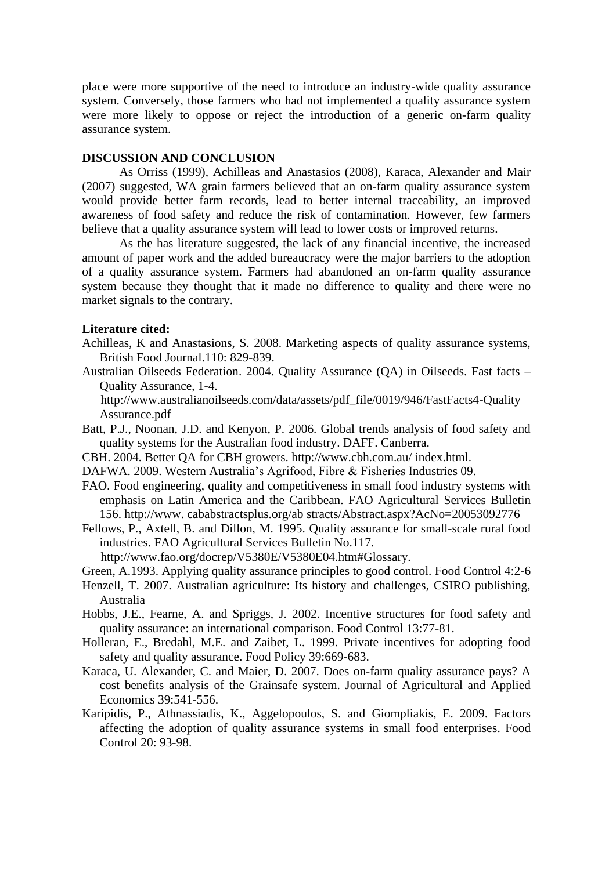place were more supportive of the need to introduce an industry-wide quality assurance system. Conversely, those farmers who had not implemented a quality assurance system were more likely to oppose or reject the introduction of a generic on-farm quality assurance system.

## **DISCUSSION AND CONCLUSION**

As Orriss (1999), Achilleas and Anastasios (2008), Karaca, Alexander and Mair (2007) suggested, WA grain farmers believed that an on-farm quality assurance system would provide better farm records, lead to better internal traceability, an improved awareness of food safety and reduce the risk of contamination. However, few farmers believe that a quality assurance system will lead to lower costs or improved returns.

As the has literature suggested, the lack of any financial incentive, the increased amount of paper work and the added bureaucracy were the major barriers to the adoption of a quality assurance system. Farmers had abandoned an on-farm quality assurance system because they thought that it made no difference to quality and there were no market signals to the contrary.

#### **Literature cited:**

- Achilleas, K and Anastasions, S. 2008. Marketing aspects of quality assurance systems, British Food Journal.110: 829-839.
- Australian Oilseeds Federation. 2004. Quality Assurance (QA) in Oilseeds. Fast facts Quality Assurance, 1-4.

 http://www.australianoilseeds.com/data/assets/pdf\_file/0019/946/FastFacts4-Quality Assurance.pdf

- Batt, P.J., Noonan, J.D. and Kenyon, P. 2006. Global trends analysis of food safety and quality systems for the Australian food industry. DAFF. Canberra.
- CBH. 2004. Better QA for CBH growers.<http://www.cbh.com.au/> index.html.
- DAFWA. 2009. Western Australia's Agrifood, Fibre & Fisheries Industries 09.
- FAO. Food engineering, quality and competitiveness in small food industry systems with emphasis on Latin America and the Caribbean. FAO Agricultural Services Bulletin 156. [http://www.](http://www/) cababstractsplus.org/ab stracts/Abstract.aspx?AcNo=20053092776
- Fellows, P., Axtell, B. and Dillon, M. 1995. Quality assurance for small-scale rural food industries. FAO Agricultural Services Bulletin No.117.

http://www.fao.org/docrep/V5380E/V5380E04.htm#Glossary.

- Green, A.1993. Applying quality assurance principles to good control. Food Control 4:2-6
- Henzell, T. 2007. Australian agriculture: Its history and challenges, CSIRO publishing, Australia
- Hobbs, J.E., Fearne, A. and Spriggs, J. 2002. Incentive structures for food safety and quality assurance: an international comparison. Food Control 13:77-81.
- Holleran, E., Bredahl, M.E. and Zaibet, L. 1999. Private incentives for adopting food safety and quality assurance. Food Policy 39:669-683.
- Karaca, U. Alexander, C. and Maier, D. 2007. Does on-farm quality assurance pays? A cost benefits analysis of the Grainsafe system. Journal of Agricultural and Applied Economics 39:541-556.
- Karipidis, P., Athnassiadis, K., Aggelopoulos, S. and Giompliakis, E. 2009. Factors affecting the adoption of quality assurance systems in small food enterprises. Food Control 20: 93-98.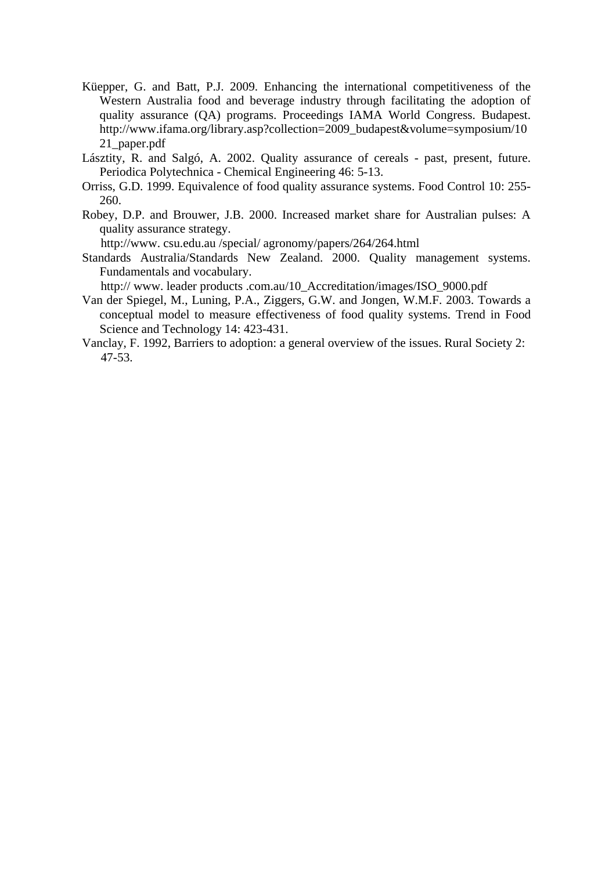- Küepper, G. and Batt, P.J. 2009. Enhancing the international competitiveness of the Western Australia food and beverage industry through facilitating the adoption of quality assurance (QA) programs. Proceedings IAMA World Congress. Budapest. [http://www.ifama.org/library.asp?collection=2009\\_budapest&volume=symposium/10](http://www.ifama.org/library.asp?collection=2009_budapest&volume=symposium/1021_paper.pdf) [21\\_paper.pdf](http://www.ifama.org/library.asp?collection=2009_budapest&volume=symposium/1021_paper.pdf)
- Lásztity, R. and Salgó, A. 2002. Quality assurance of cereals past, present, future. Periodica Polytechnica - Chemical Engineering 46: 5-13.
- Orriss, G.D. 1999. Equivalence of food quality assurance systems. Food Control 10: 255- 260.
- Robey, D.P. and Brouwer, J.B. 2000. Increased market share for Australian pulses: A quality assurance strategy.

http://www. csu.edu.au /special/ agronomy/papers/264/264.html

Standards Australia/Standards New Zealand. 2000. Quality management systems. Fundamentals and vocabulary.

http:// www. leader products .com.au/10\_Accreditation/images/ISO\_9000.pdf

- Van der Spiegel, M., Luning, P.A., Ziggers, G.W. and Jongen, W.M.F. 2003. Towards a conceptual model to measure effectiveness of food quality systems. Trend in Food Science and Technology 14: 423-431.
- Vanclay, F. 1992, Barriers to adoption: a general overview of the issues. Rural Society 2: 47-53.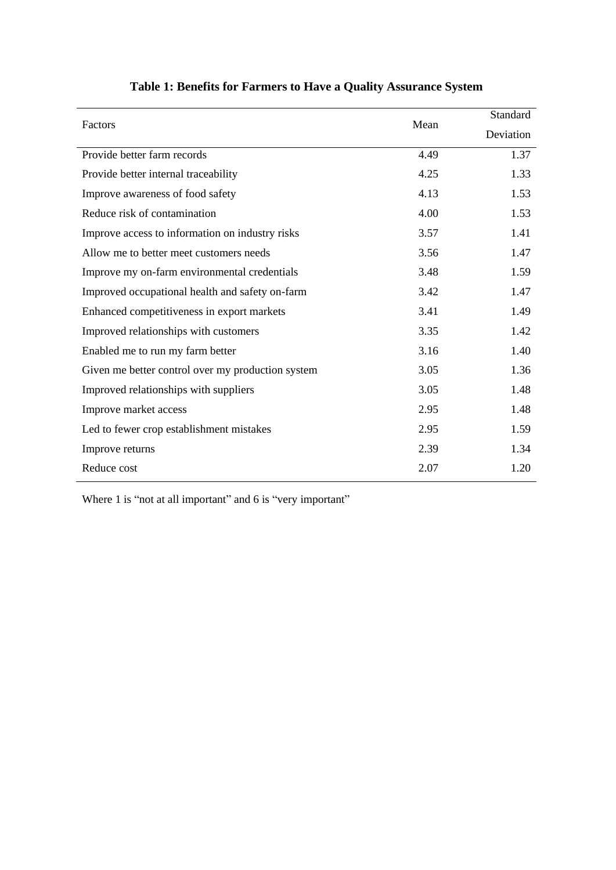| Factors                                           |      | Standard  |
|---------------------------------------------------|------|-----------|
|                                                   | Mean | Deviation |
| Provide better farm records                       | 4.49 | 1.37      |
| Provide better internal traceability              | 4.25 | 1.33      |
| Improve awareness of food safety                  | 4.13 | 1.53      |
| Reduce risk of contamination                      | 4.00 | 1.53      |
| Improve access to information on industry risks   | 3.57 | 1.41      |
| Allow me to better meet customers needs           | 3.56 | 1.47      |
| Improve my on-farm environmental credentials      | 3.48 | 1.59      |
| Improved occupational health and safety on-farm   | 3.42 | 1.47      |
| Enhanced competitiveness in export markets        | 3.41 | 1.49      |
| Improved relationships with customers             | 3.35 | 1.42      |
| Enabled me to run my farm better                  | 3.16 | 1.40      |
| Given me better control over my production system | 3.05 | 1.36      |
| Improved relationships with suppliers             | 3.05 | 1.48      |
| Improve market access                             | 2.95 | 1.48      |
| Led to fewer crop establishment mistakes          | 2.95 | 1.59      |
| Improve returns                                   | 2.39 | 1.34      |
| Reduce cost                                       | 2.07 | 1.20      |

# **Table 1: Benefits for Farmers to Have a Quality Assurance System**

Where 1 is "not at all important" and 6 is "very important"